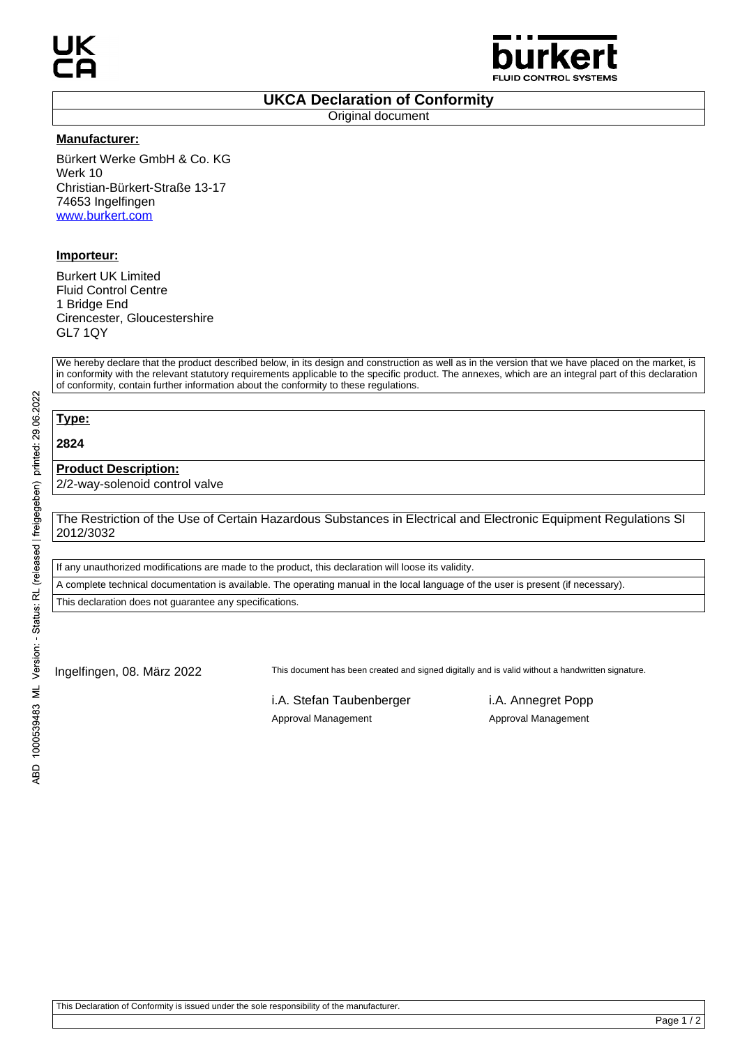

#### **UKCA Declaration of Conformity**

Original document

#### **Manufacturer:**

Bürkert Werke GmbH & Co. KG Werk 10 Christian-Bürkert-Straße 13-17 74653 Ingelfingen www.burkert.com

### **Importeur:**

Burkert UK Limited Fluid Control Centre 1 Bridge End Cirencester, Gloucestershire GL7 1QY

We hereby declare that the product described below, in its design and construction as well as in the version that we have placed on the market, is in conformity with the relevant statutory requirements applicable to the specific product. The annexes, which are an integral part of this declaration of conformity, contain further information about the conformity to these regulations.

# **Type:**

**2824**

### **Product Description:**

2/2-way-solenoid control valve

The Restriction of the Use of Certain Hazardous Substances in Electrical and Electronic Equipment Regulations SI 2012/3032

If any unauthorized modifications are made to the product, this declaration will loose its validity.

A complete technical documentation is available. The operating manual in the local language of the user is present (if necessary).

This declaration does not guarantee any specifications.

Ingelfingen, 08. März 2022 This document has been created and signed digitally and is valid without a handwritten signature.

i.A. Stefan Taubenberger i.A. Annegret Popp Approval Management Approval Management